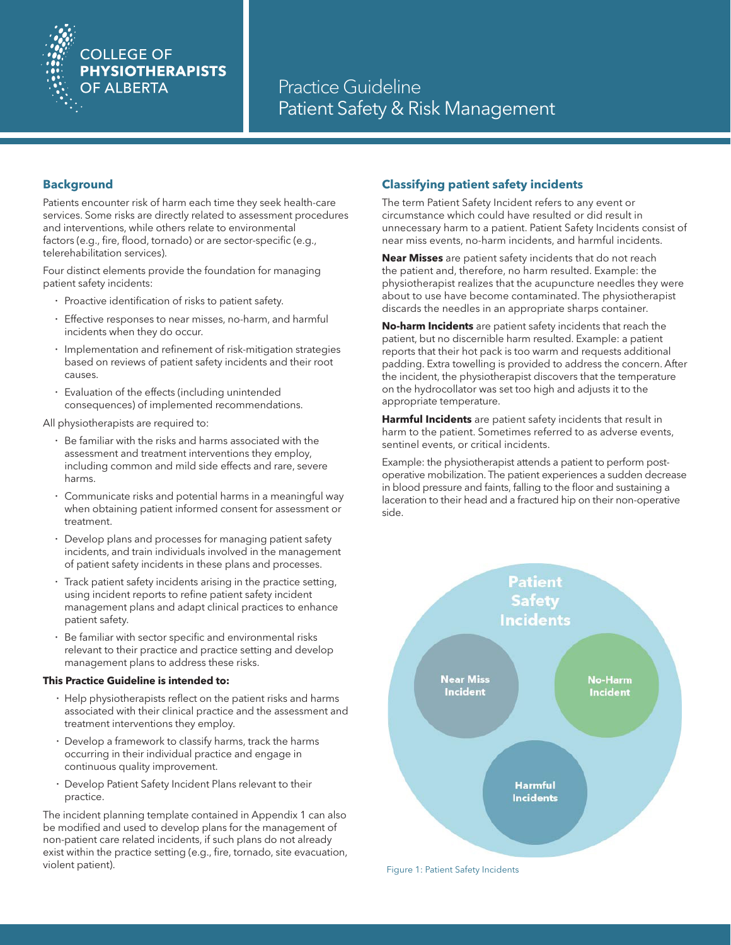

## **Background**

Patients encounter risk of harm each time they seek health-care services. Some risks are directly related to assessment procedures and interventions, while others relate to environmental factors (e.g., fire, flood, tornado) or are sector-specific (e.g., telerehabilitation services).

Four distinct elements provide the foundation for managing patient safety incidents:

- · Proactive identification of risks to patient safety.
- · Effective responses to near misses, no-harm, and harmful incidents when they do occur.
- · Implementation and refinement of risk-mitigation strategies based on reviews of patient safety incidents and their root causes.
- Evaluation of the effects (including unintended consequences) of implemented recommendations.

All physiotherapists are required to:

- · Be familiar with the risks and harms associated with the assessment and treatment interventions they employ, including common and mild side effects and rare, severe harms.
- · Communicate risks and potential harms in a meaningful way when obtaining patient informed consent for assessment or treatment.
- Develop plans and processes for managing patient safety incidents, and train individuals involved in the management of patient safety incidents in these plans and processes.
- Track patient safety incidents arising in the practice setting, using incident reports to refine patient safety incident management plans and adapt clinical practices to enhance patient safety.
- Be familiar with sector specific and environmental risks relevant to their practice and practice setting and develop management plans to address these risks.

#### **This Practice Guideline is intended to:**

- · Help physiotherapists reflect on the patient risks and harms associated with their clinical practice and the assessment and treatment interventions they employ.
- · Develop a framework to classify harms, track the harms occurring in their individual practice and engage in continuous quality improvement.
- · Develop Patient Safety Incident Plans relevant to their practice.

The incident planning template contained in Appendix 1 can also be modified and used to develop plans for the management of non-patient care related incidents, if such plans do not already exist within the practice setting (e.g., fire, tornado, site evacuation, violent patient).

# **Classifying patient safety incidents**

The term Patient Safety Incident refers to any event or circumstance which could have resulted or did result in unnecessary harm to a patient. Patient Safety Incidents consist of near miss events, no-harm incidents, and harmful incidents.

**Near Misses** are patient safety incidents that do not reach the patient and, therefore, no harm resulted. Example: the physiotherapist realizes that the acupuncture needles they were about to use have become contaminated. The physiotherapist discards the needles in an appropriate sharps container.

**No-harm Incidents** are patient safety incidents that reach the patient, but no discernible harm resulted. Example: a patient reports that their hot pack is too warm and requests additional padding. Extra towelling is provided to address the concern. After the incident, the physiotherapist discovers that the temperature on the hydrocollator was set too high and adjusts it to the appropriate temperature.

**Harmful Incidents** are patient safety incidents that result in harm to the patient. Sometimes referred to as adverse events, sentinel events, or critical incidents.

Example: the physiotherapist attends a patient to perform postoperative mobilization. The patient experiences a sudden decrease in blood pressure and faints, falling to the floor and sustaining a laceration to their head and a fractured hip on their non-operative side.

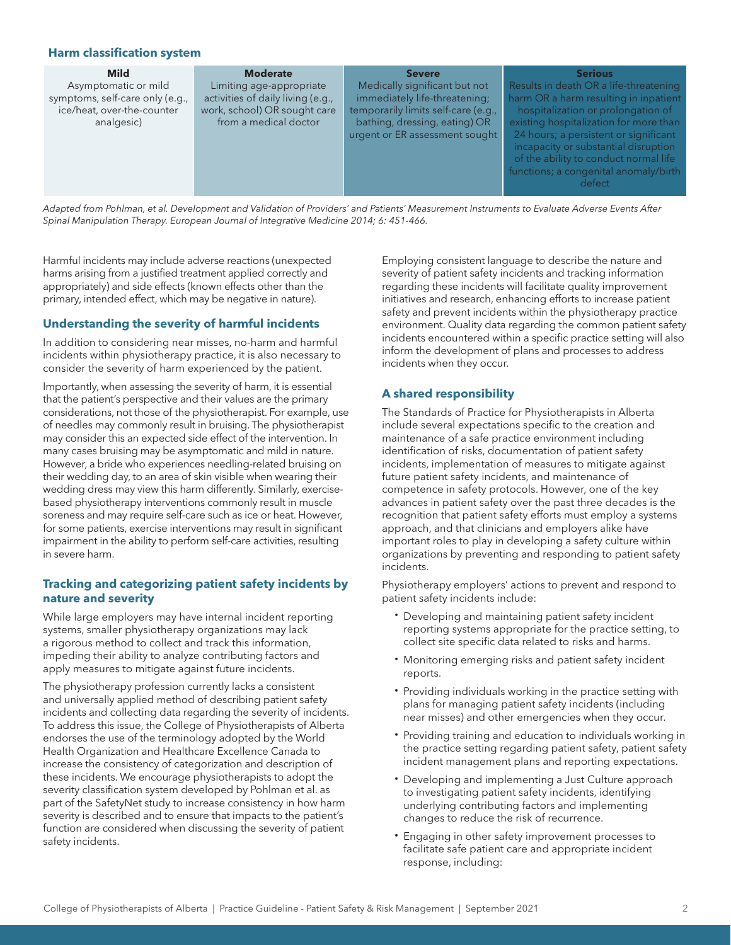### **Harm classification system**

| <b>Mild</b>                                                                                         | <b>Moderate</b>                                                                                                        | <b>Severe</b>                                                                                                                                                            | <b>Serious</b>                                                                                                                                                                                           |
|-----------------------------------------------------------------------------------------------------|------------------------------------------------------------------------------------------------------------------------|--------------------------------------------------------------------------------------------------------------------------------------------------------------------------|----------------------------------------------------------------------------------------------------------------------------------------------------------------------------------------------------------|
| Asymptomatic or mild<br>symptoms, self-care only (e.g.,<br>ice/heat, over-the-counter<br>analgesic) | Limiting age-appropriate<br>activities of daily living (e.g.,<br>work, school) OR sought care<br>from a medical doctor | Medically significant but not<br>immediately life-threatening;<br>temporarily limits self-care (e.g.,<br>bathing, dressing, eating) OR<br>urgent or ER assessment sought | Results in death OR a life-threatening<br>harm OR a harm resulting in inpatient<br>hospitalization or prolongation of<br>existing hospitalization for more than<br>24 hours; a persistent or significant |
|                                                                                                     |                                                                                                                        |                                                                                                                                                                          | incapacity or substantial disruption<br>of the ability to conduct normal life<br>functions; a congenital anomaly/birth<br>defect                                                                         |

*Adapted from Pohlman, et al. Development and Validation of Providers' and Patients' Measurement Instruments to Evaluate Adverse Events After Spinal Manipulation Therapy. European Journal of Integrative Medicine 2014; 6: 451-466.*

Harmful incidents may include adverse reactions (unexpected harms arising from a justified treatment applied correctly and appropriately) and side effects (known effects other than the primary, intended effect, which may be negative in nature).

#### **Understanding the severity of harmful incidents**

In addition to considering near misses, no-harm and harmful incidents within physiotherapy practice, it is also necessary to consider the severity of harm experienced by the patient.

Importantly, when assessing the severity of harm, it is essential that the patient's perspective and their values are the primary considerations, not those of the physiotherapist. For example, use of needles may commonly result in bruising. The physiotherapist may consider this an expected side effect of the intervention. In many cases bruising may be asymptomatic and mild in nature. However, a bride who experiences needling-related bruising on their wedding day, to an area of skin visible when wearing their wedding dress may view this harm differently. Similarly, exercisebased physiotherapy interventions commonly result in muscle soreness and may require self-care such as ice or heat. However, for some patients, exercise interventions may result in significant impairment in the ability to perform self-care activities, resulting in severe harm.

## **Tracking and categorizing patient safety incidents by nature and severity**

While large employers may have internal incident reporting systems, smaller physiotherapy organizations may lack a rigorous method to collect and track this information, impeding their ability to analyze contributing factors and apply measures to mitigate against future incidents.

The physiotherapy profession currently lacks a consistent and universally applied method of describing patient safety incidents and collecting data regarding the severity of incidents. To address this issue, the College of Physiotherapists of Alberta endorses the use of the terminology adopted by the World Health Organization and Healthcare Excellence Canada to increase the consistency of categorization and description of these incidents. We encourage physiotherapists to adopt the severity classification system developed by Pohlman et al. as part of the SafetyNet study to increase consistency in how harm severity is described and to ensure that impacts to the patient's function are considered when discussing the severity of patient safety incidents.

Employing consistent language to describe the nature and severity of patient safety incidents and tracking information regarding these incidents will facilitate quality improvement initiatives and research, enhancing efforts to increase patient safety and prevent incidents within the physiotherapy practice environment. Quality data regarding the common patient safety incidents encountered within a specific practice setting will also inform the development of plans and processes to address incidents when they occur.

## **A shared responsibility**

The Standards of Practice for Physiotherapists in Alberta include several expectations specific to the creation and maintenance of a safe practice environment including identification of risks, documentation of patient safety incidents, implementation of measures to mitigate against future patient safety incidents, and maintenance of competence in safety protocols. However, one of the key advances in patient safety over the past three decades is the recognition that patient safety efforts must employ a systems approach, and that clinicians and employers alike have important roles to play in developing a safety culture within organizations by preventing and responding to patient safety incidents.

Physiotherapy employers' actions to prevent and respond to patient safety incidents include:

- Developing and maintaining patient safety incident reporting systems appropriate for the practice setting, to collect site specific data related to risks and harms.
- · Monitoring emerging risks and patient safety incident reports.
- · Providing individuals working in the practice setting with plans for managing patient safety incidents (including near misses) and other emergencies when they occur.
- · Providing training and education to individuals working in the practice setting regarding patient safety, patient safety incident management plans and reporting expectations.
- · Developing and implementing a Just Culture approach to investigating patient safety incidents, identifying underlying contributing factors and implementing changes to reduce the risk of recurrence.
- · Engaging in other safety improvement processes to facilitate safe patient care and appropriate incident response, including: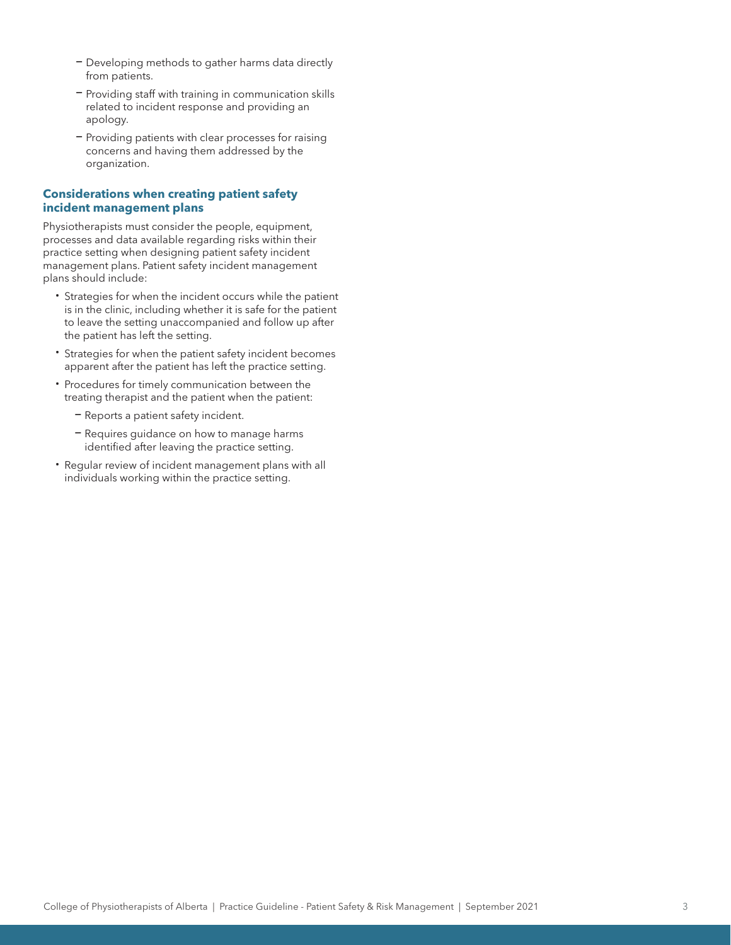- Developing methods to gather harms data directly from patients.
- Providing staff with training in communication skills related to incident response and providing an apology.
- Providing patients with clear processes for raising concerns and having them addressed by the organization.

### **Considerations when creating patient safety incident management plans**

Physiotherapists must consider the people, equipment, processes and data available regarding risks within their practice setting when designing patient safety incident management plans. Patient safety incident management plans should include:

- · Strategies for when the incident occurs while the patient is in the clinic, including whether it is safe for the patient to leave the setting unaccompanied and follow up after the patient has left the setting.
- · Strategies for when the patient safety incident becomes apparent after the patient has left the practice setting.
- · Procedures for timely communication between the treating therapist and the patient when the patient:
	- Reports a patient safety incident.
	- Requires guidance on how to manage harms identified after leaving the practice setting.
- · Regular review of incident management plans with all individuals working within the practice setting.